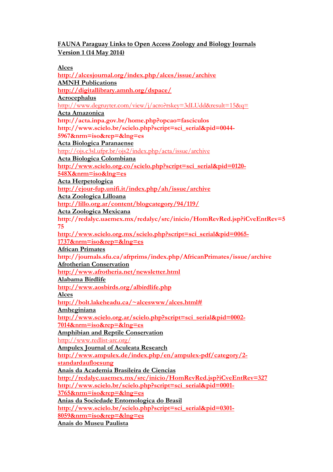## FAUNA Paraguay Links to Open Access Zoology and Biology Journals Version 1 (14 May 2014)

Alces

http://alcesjournal.org/index.php/alces/issue/archive AMNH Publications http://digitallibrary.amnh.org/dspace/ Acrocephalus http://www.degruyter.com/view/j/acro?rskey=3dLUdd&result=15&q= Acta Amazonica http://acta.inpa.gov.br/home.php?opcao=fasciculos http://www.scielo.br/scielo.php?script=sci\_serial&pid=0044- 5967&nrm=iso&rep=&lng=es Acta Biologica Paranaense http://ojs.c3sl.ufpr.br/ojs2/index.php/acta/issue/archive Acta Biologica Colombiana http://www.scielo.org.co/scielo.php?script=sci\_serial&pid=0120-548X&nrm=iso&lng=es Acta Herpetologica http://ejour-fup.unifi.it/index.php/ah/issue/archive Acta Zoologica Lilloana http://lillo.org.ar/content/blogcategory/94/119/ Acta Zoologica Mexicana http://redalyc.uaemex.mx/redalyc/src/inicio/HomRevRed.jsp?iCveEntRev=5 75 http://www.scielo.org.mx/scielo.php?script=sci\_serial&pid=0065-1737&nrm=iso&rep=&lng=es African Primates http://journals.sfu.ca/afrprims/index.php/AfricanPrimates/issue/archive Afrotherian Conservation http://www.afrotheria.net/newsletter.html Alabama Birdlife http://www.aosbirds.org/albirdlife.php Alces http://bolt.lakeheadu.ca/~alceswww/alces.html# Amheginiana http://www.scielo.org.ar/scielo.php?script=sci\_serial&pid=0002-7014&nrm=iso&rep=&lng=es Amphibian and Reptile Conservation http://www.redlist-arc.org/ Ampulex Journal of Aculeata Research http://www.ampulex.de/index.php/en/ampulex-pdf/category/2 standardaufloesung Anais da Academia Brasileira de Ciencias http://redalyc.uaemex.mx/src/inicio/HomRevRed.jsp?iCveEntRev=327 http://www.scielo.br/scielo.php?script=sci\_serial&pid=0001- 3765&nrm=iso&rep=&lng=es Anias da Sociedade Entomologica do Brasil http://www.scielo.br/scielo.php?script=sci\_serial&pid=0301- 8059&nrm=iso&rep=&lng=es Anais do Museu Paulista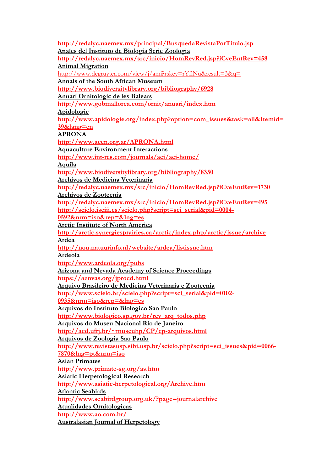http://redalyc.uaemex.mx/principal/BusquedaRevistaPorTitulo.jsp Anales del Instituto de Biologia Serie Zoologia http://redalyc.uaemex.mx/src/inicio/HomRevRed.jsp?iCveEntRev=458 Animal Migration http://www.degruyter.com/view/j/ami?rskey=rYflNu&result=3&q= Annals of the South African Museum http://www.biodiversitylibrary.org/bibliography/6928 Anuari Ornitologic de les Balears http://www.gobmallorca.com/ornit/anuari/index.htm Apidologie http://www.apidologie.org/index.php?option=com\_issues&task=all&Itemid= 39&lang=en APRONA http://www.acen.org.ar/APRONA.html Aquaculture Environment Interactions http://www.int-res.com/journals/aei/aei-home/ Aquila http://www.biodiversitylibrary.org/bibliography/8350 Archivos de Medicina Veterinaria http://redalyc.uaemex.mx/src/inicio/HomRevRed.jsp?iCveEntRev=1730 Archivos de Zootecnia http://redalyc.uaemex.mx/src/inicio/HomRevRed.jsp?iCveEntRev=495 http://scielo.isciii.es/scielo.php?script=sci\_serial&pid=0004-0592&nrm=iso&rep=&lng=es Arctic Institute of North America http://arctic.synergiesprairies.ca/arctic/index.php/arctic/issue/archive Ardea http://nou.natuurinfo.nl/website/ardea/listissue.htm Ardeola http://www.ardeola.org/pubs Arizona and Nevada Academy of Science Proceedings https://aznvas.org/jprocd.html Arquivo Brasileiro de Medicina Veterinaria e Zootecnia http://www.scielo.br/scielo.php?script=sci\_serial&pid=0102- 0935&nrm=iso&rep=&lng=es Arquivos do Instituto Biologico Sao Paulo http://www.biologico.sp.gov.br/rev\_arq\_todos.php Arquivos do Museu Nacional Rio de Janeiro http://acd.ufrj.br/~museuhp/CP/cp-arquivos.html Arquivos de Zoologia Sao Paulo http://www.revistasusp.sibi.usp.br/scielo.php?script=sci\_issues&pid=0066- 7870&lng=pt&nrm=iso Asian Primates http://www.primate-sg.org/as.htm Asiatic Herpetological Research http://www.asiatic-herpetological.org/Archive.htm Atlantic Seabirds http://www.seabirdgroup.org.uk/?page=journalarchive Atualidades Ornitologicas http://www.ao.com.br/ Australasian Journal of Herpetology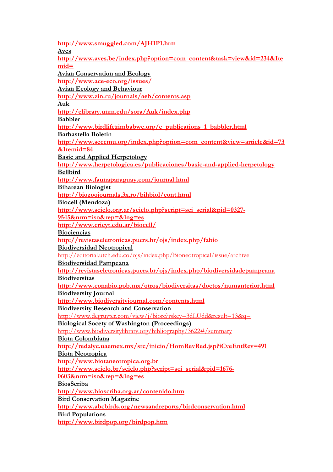http://www.smuggled.com/AJHIP1.htm Aves http://www.aves.be/index.php?option=com\_content&task=view&id=234&Ite  $mid=$ Avian Conservation and Ecology http://www.ace-eco.org/issues/ Avian Ecology and Behaviour http://www.zin.ru/journals/aeb/contents.asp Auk http://elibrary.unm.edu/sora/Auk/index.php Babbler http://www.birdlifezimbabwe.org/e\_publications\_1\_babbler.html Barbastella Boletin http://www.secemu.org/index.php?option=com\_content&view=article&id=73 &Itemid=84 Basic and Applied Herpetology http://www.herpetologica.es/publicaciones/basic-and-applied-herpetology Bellbird http://www.faunaparaguay.com/journal.html Biharean Biologist http://biozoojournals.3x.ro/bihbiol/cont.html Biocell (Mendoza) http://www.scielo.org.ar/scielo.php?script=sci\_serial&pid=0327- 9545&nrm=iso&rep=&lng=es http://www.cricyt.edu.ar/biocell/ Biociencias http://revistaseletronicas.pucrs.br/ojs/index.php/fabio Biodiversidad Neotropical http://editorial.utch.edu.co/ojs/index.php/Bioneotropical/issue/archive Biodiversidad Pampeana http://revistaseletronicas.pucrs.br/ojs/index.php/biodiversidadepampeana **Biodiversitas** http://www.conabio.gob.mx/otros/biodiversitas/doctos/numanterior.html Biodiversity Journal http://www.biodiversityjournal.com/contents.html Biodiversity Research and Conservation http://www.degruyter.com/view/j/biorc?rskey=3dLUdd&result=13&q= Biological Socety of Washington (Proceedings) http://www.biodiversitylibrary.org/bibliography/3622#/summary Biota Colombiana http://redalyc.uaemex.mx/src/inicio/HomRevRed.jsp?iCveEntRev=491 Biota Neotropica http://www.biotaneotropica.org.br http://www.scielo.br/scielo.php?script=sci\_serial&pid=1676- 0603&nrm=iso&rep=&lng=es BiosScriba http://www.bioscriba.org.ar/contenido.htm Bird Conservation Magazine http://www.abcbirds.org/newsandreports/birdconservation.html Bird Populations http://www.birdpop.org/birdpop.htm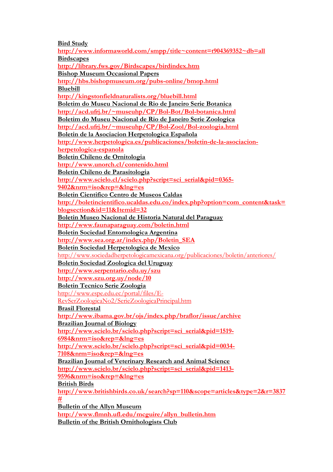**Bird Study** 

http://www.informaworld.com/smpp/title~content=t904369352~db=all Birdscapes http://library.fws.gov/Birdscapes/birdindex.htm Bishop Museum Occasional Papers http://hbs.bishopmuseum.org/pubs-online/bmop.html Bluebill http://kingstonfieldnaturalists.org/bluebill.html Boletim do Museu Nacional de Rio de Janeiro Serie Botanica http://acd.ufrj.br/~museuhp/CP/Bol-Bot/Bol-botanica.html Boletim do Museu Nacional de Rio de Janeiro Serie Zoologica http://acd.ufrj.br/~museuhp/CP/Bol-Zool/Bol-zoologia.html Boletin de la Asociacion Herpetologica Española http://www.herpetologica.es/publicaciones/boletin-de-la-asociacionherpetologica-espanola Boletin Chileno de Ornitologia http://www.unorch.cl/contenido.html Boletin Chileno de Parasitologia http://www.scielo.cl/scielo.php?script=sci\_serial&pid=0365-9402&nrm=iso&rep=&lng=es Boletin Cientifico Centro de Museos Caldas http://boletincientifico.ucaldas.edu.co/index.php?option=com\_content&task= blogsection&id=11&Itemid=32 Boletin Museo Nacional de Historia Natural del Paraguay http://www.faunaparaguay.com/boletin.html Boletin Sociedad Entomologica Argentina http://www.sea.org.ar/index.php/Boletin\_SEA Boletin Sociedad Herpetologica de Mexico http://www.sociedadherpetologicamexicana.org/publicaciones/boletin/anteriores/ Boletin Sociedad Zoologica del Uruguay http://www.serpentario.edu.uy/szu http://www.szu.org.uy/node/10 Boletin Tecnico Serie Zoologia http://www.espe.edu.ec/portal/files/E-RevSerZoologicaNo2/SerieZoologicaPrincipal.htm Brasil Florestal http://www.ibama.gov.br/ojs/index.php/braflor/issue/archive Brazilian Journal of Biology http://www.scielo.br/scielo.php?script=sci\_serial&pid=1519- 6984&nrm=iso&rep=&lng=es http://www.scielo.br/scielo.php?script=sci\_serial&pid=0034- 7108&nrm=iso&rep=&lng=es Brazilian Journal of Veterinary Research and Animal Science http://www.scielo.br/scielo.php?script=sci\_serial&pid=1413- 9596&nrm=iso&rep=&lng=es British Birds http://www.britishbirds.co.uk/search?sp=110&scope=articles&type=2&r=3837 # Bulletin of the Allyn Museum http://www.flmnh.ufl.edu/mcguire/allyn\_bulletin.htm

Bulletin of the British Ornithologists Club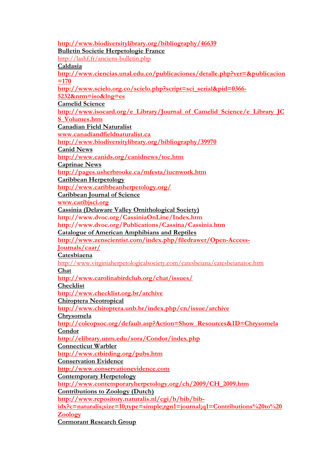http://www.biodiversitylibrary.org/bibliography/46639 Bulletin Societie Herpetologie France http://lashf.fr/anciens-bulletin.php Caldasia http://www.ciencias.unal.edu.co/publicaciones/detalle.php?ver=&publicacion  $=170$ http://www.scielo.org.co/scielo.php?script=sci\_serial&pid=0366- 5232&nrm=iso&lng=es Camelid Science http://www.isocard.org/e\_Library/Journal\_of\_Camelid\_Science/e\_Library\_JC S\_Volumes.htm Canadian Field Naturalist www.canadiandfieldnaturalist.ca http://www.biodiversitylibrary.org/bibliography/39970 Canid News http://www.canids.org/canidnews/toc.htm Caprinae News http://pages.usherbrooke.ca/mfesta/iucnwork.htm Caribbean Herpetology http://www.caribbeanherpetology.org/ Caribbean Journal of Science www.caribjsci.org Cassinia (Delaware Valley Ornithological Society) http://www.dvoc.org/CassiniaOnLine/Index.htm http://www.dvoc.org/Publications/Cassina/Cassinia.htm Catalogue of American Amphibians and Reptiles http://www.zenscientist.com/index.php/filedrawer/Open-Access-Journals/caar/ Catesbiaena http://www.virginiaherpetologicalsociety.com/catesbeiana/catesbeianatoc.htm Chat http://www.carolinabirdclub.org/chat/issues/ Checklist http://www.checklist.org.br/archive Chiroptera Neotropical http://www.chiroptera.unb.br/index.php/cn/issue/archive Chrysomela http://coleopsoc.org/default.asp?Action=Show\_Resources&ID=Chrysomela Condor http://elibrary.unm.edu/sora/Condor/index.php Connecticut Warbler http://www.ctbirding.org/pubs.htm Conservation Evidence http://www.conservationevidence.com Contemporary Herpetology http://www.contemporaryherpetology.org/ch/2009/CH\_2009.htm Contributions to Zoology (Dutch) http://www.repository.naturalis.nl/cgi/b/bib/bibidx?c=naturalis;size=10;type=simple;rgn1=journal;q1=Contributions%20to%20 Zoology Cormorant Research Group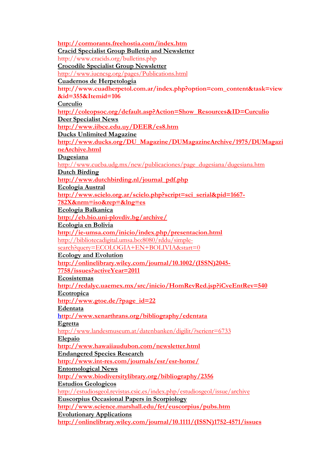http://cormorants.freehostia.com/index.htm Cracid Specialist Group Bulletin and Newsletter http://www.cracids.org/bulletins.php Crocodile Specialist Group Newsletter http://www.iucncsg.org/pages/Publications.html Cuadernos de Herpetologia http://www.cuadherpetol.com.ar/index.php?option=com\_content&task=view  $\&$ id=355 $\&$ Itemid=106 Curculio http://coleopsoc.org/default.asp?Action=Show\_Resources&ID=Curculio Deer Specialist News http://www.iibce.edu.uy/DEER/es8.htm Ducks Unlimited Magazine http://www.ducks.org/DU\_Magazine/DUMagazineArchive/1975/DUMagazi neArchive.html Dugesiana http://www.cucba.udg.mx/new/publicaciones/page\_dugesiana/dugesiana.htm Dutch Birding http://www.dutchbirding.nl/journal\_pdf.php Ecologia Austral http://www.scielo.org.ar/scielo.php?script=sci\_serial&pid=1667-782X&nrm=iso&rep=&lng=es Ecologia Balkanica http://eb.bio.uni-plovdiv.bg/archive/ Ecologia en Bolivia http://ie-umsa.com/inicio/index.php/presentacion.html http://bibliotecadigital.umsa.bo:8080/rddu/simplesearch?query=ECOLOGIA+EN+BOLIVIA&start=0 Ecology and Evolution http://onlinelibrary.wiley.com/journal/10.1002/(ISSN)2045- 7758/issues?activeYear=2011 **Ecosistemas** http://redalyc.uaemex.mx/src/inicio/HomRevRed.jsp?iCveEntRev=540 Ecotropica http://www.gtoe.de/?page\_id=22 Edentata http://www.xenarthrans.org/bibliography/edentata Egretta http://www.landesmuseum.at/datenbanken/digilit/?serienr=6733 Elepaio http://www.hawaiiaudubon.com/newsletter.html Endangered Species Research http://www.int-res.com/journals/esr/esr-home/ Entomological News http://www.biodiversitylibrary.org/bibliography/2356 Estudios Geologicos http://estudiosgeol.revistas.csic.es/index.php/estudiosgeol/issue/archive Euscorpius Occasional Papers in Scorpiology http://www.science.marshall.edu/fet/euscorpius/pubs.htm Evolutionary Applications http://onlinelibrary.wiley.com/journal/10.1111/(ISSN)1752-4571/issues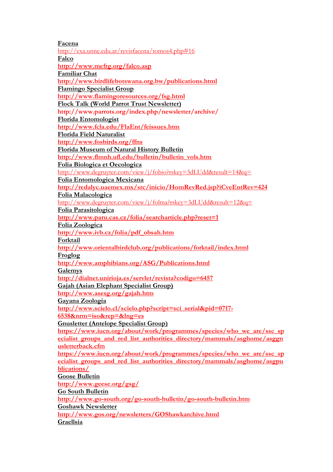Facena http://exa.unne.edu.ar/revisfacena/tomos4.php#16 Falco http://www.mefrg.org/falco.asp Familiar Chat http://www.birdlifebotswana.org.bw/publications.html Flamingo Specialist Group http://www.flamingoresources.org/fsg.html Flock Talk (World Parrot Trust Newsletter) http://www.parrots.org/index.php/newsletter/archive/ Florida Entomologist http://www.fcla.edu/FlaEnt/feissues.htm Florida Field Naturalist http://www.fosbirds.org/ffns Florida Museum of Natural History Bulletin http://www.flmnh.ufl.edu/bulletin/bulletin\_vols.htm Folia Biologica et Oecologica http://www.degruyter.com/view/j/fobio?rskey=3dLUdd&result=14&q= Folia Entomologica Mexicana http://redalyc.uaemex.mx/src/inicio/HomRevRed.jsp?iCveEntRev=424 Folia Malacologica http://www.degruyter.com/view/j/folma?rskey=3dLUdd&result=12&q= Folia Parasitologica http://www.paru.cas.cz/folia/searcharticle.php?reset=1 Folia Zoologica http://www.ivb.cz/folia/pdf\_obsah.htm Forktail http://www.orientalbirdclub.org/publications/forktail/index.html Froglog http://www.amphibians.org/ASG/Publications.html **Galemys** http://dialnet.unirioja.es/servlet/revista?codigo=6457 Gajah (Asian Elephant Specialist Group) http://www.asesg.org/gajah.htm Gayana Zoologia http://www.scielo.cl/scielo.php?script=sci\_serial&pid=0717-6538&nrm=iso&rep=&lng=es Gnusletter (Antelope Specialist Group) https://www.iucn.org/about/work/programmes/species/who\_we\_are/ssc\_sp ecialist groups and red list authorities directory/mammals/asghome/asggn usletterback.cfm https://www.iucn.org/about/work/programmes/species/who\_we\_are/ssc\_sp ecialist groups and red list authorities directory/mammals/asghome/asgpu blications/ Goose Bulletin http://www.geese.org/gsg/ Go South Bulletin http://www.go-south.org/go-south-bulletin/go-south-bulletin.htm Goshawk Newsletter http://www.gos.org/newsletters/GOShawkarchive.html Graellsia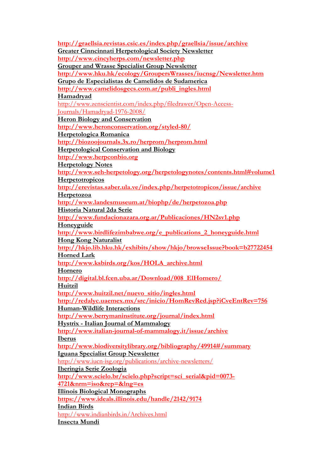http://graellsia.revistas.csic.es/index.php/graellsia/issue/archive Greater Cinncinnati Herpetological Society Newsletter http://www.cincyherps.com/newsletter.php Grouper and Wrasse Specialist Group Newsletter http://www.hku.hk/ecology/GroupersWrasses/iucnsg/Newsletter.htm Grupo de Especialistas de Camelidos de Sudamerica http://www.camelidosgecs.com.ar/publi\_ingles.html Hamadryad http://www.zenscientist.com/index.php/filedrawer/Open-Access-Journals/Hamadryad-1976-2008/ Heron Biology and Conservation http://www.heronconservation.org/styled-80/ Herpetologica Romanica http://biozoojournals.3x.ro/herprom/herprom.html Herpetological Conservation and Biology http://www.herpconbio.org Herpetology Notes http://www.seh-herpetology.org/herpetologynotes/contents.html#volume1 **Herpetotropicos** http://erevistas.saber.ula.ve/index.php/herpetotropicos/issue/archive Herpetozoa http://www.landesmuseum.at/biophp/de/herpetozoa.php Historia Natural 2da Serie http://www.fundacionazara.org.ar/Publicaciones/HN2sv1.php Honeyguide http://www.birdlifezimbabwe.org/e\_publications\_2\_honeyguide.html Hong Kong Naturalist http://hkjo.lib.hku.hk/exhibits/show/hkjo/browseIssue?book=b27722454 Horned Lark http://www.ksbirds.org/kos/HOLA\_archive.html Hornero http://digital.bl.fcen.uba.ar/Download/008\_ElHornero/ Huitzil http://www.huitzil.net/nuevo\_sitio/ingles.html http://redalyc.uaemex.mx/src/inicio/HomRevRed.jsp?iCveEntRev=756 Human-Wildlife Interactions http://www.berrymaninstitute.org/journal/index.html Hystrix - Italian Journal of Mammalogy http://www.italian-journal-of-mammalogy.it/issue/archive Iberus http://www.biodiversitylibrary.org/bibliography/49914#/summary Iguana Specialist Group Newsletter http://www.iucn-isg.org/publications/archive-newsletters/ Iheringia Serie Zoologia http://www.scielo.br/scielo.php?script=sci\_serial&pid=0073- 4721&nrm=iso&rep=&lng=es Illinois Biological Monographs https://www.ideals.illinois.edu/handle/2142/9174 Indian Birds http://www.indianbirds.in/Archives.html Insecta Mundi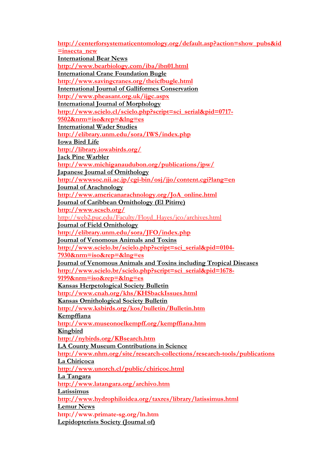http://centerforsystematicentomology.org/default.asp?action=show\_pubs&id  $=$ insecta new International Bear News http://www.bearbiology.com/iba/ibn01.html International Crane Foundation Bugle http://www.savingcranes.org/theicfbugle.html International Journal of Galliformes Conservation http://www.pheasant.org.uk/ijgc.aspx International Journal of Morphology http://www.scielo.cl/scielo.php?script=sci\_serial&pid=0717- 9502&nrm=iso&rep=&lng=es International Wader Studies http://elibrary.unm.edu/sora/IWS/index.php Iowa Bird Life http://library.iowabirds.org/ Jack Pine Warbler http://www.michiganaudubon.org/publications/jpw/ Japanese Journal of Ornithology http://wwwsoc.nii.ac.jp/cgi-bin/osj/jjo/content.cgi?lang=en Journal of Arachnology http://www.americanarachnology.org/JoA\_online.html Journal of Caribbean Ornithology (El Pitirre) http://www.scscb.org/ http://web2.puc.edu/Faculty/Floyd\_Hayes/jco/archives.html Journal of Field Ornithology http://elibrary.unm.edu/sora/JFO/index.php Journal of Venomous Animals and Toxins http://www.scielo.br/scielo.php?script=sci\_serial&pid=0104- 7930&nrm=iso&rep=&lng=es Journal of Venomous Animals and Toxins including Tropical Diseases http://www.scielo.br/scielo.php?script=sci\_serial&pid=1678- 9199&nrm=iso&rep=&lng=es Kansas Herpetological Society Bulletin http://www.cnah.org/khs/KHSbackIssues.html Kansas Ornithological Society Bulletin http://www.ksbirds.org/kos/bulletin/Bulletin.htm Kempffiana http://www.museonoelkempff.org/kempffiana.htm Kingbird http://nybirds.org/KBsearch.htm LA County Museum Contributions in Science http://www.nhm.org/site/research-collections/research-tools/publications La Chiricoca http://www.unorch.cl/public/chiricoc.html La Tangara http://www.latangara.org/archivo.htm Latissimus http://www.hydrophiloidea.org/taxres/library/latissimus.html Lemur News http://www.primate-sg.org/ln.htm Lepidopterists Society (Journal of)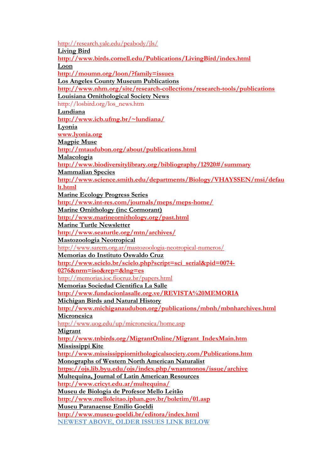http://research.yale.edu/peabody/jls/ Living Bird http://www.birds.cornell.edu/Publications/LivingBird/index.html Loon http://moumn.org/loon/?family=issues Los Angeles County Museum Publications http://www.nhm.org/site/research-collections/research-tools/publications Louisiana Ornithological Society News http://losbird.org/los\_news.htm Lundiana http://www.icb.ufmg.br/~lundiana/ Lyonia www.lyonia.org Magpie Muse http://mtaudubon.org/about/publications.html Malacologia http://www.biodiversitylibrary.org/bibliography/12920#/summary Mammalian Species http://www.science.smith.edu/departments/Biology/VHAYSSEN/msi/defau lt.html Marine Ecology Progress Series http://www.int-res.com/journals/meps/meps-home/ Marine Ornithology (inc Cormorant) http://www.marineornithology.org/past.html Marine Turtle Newsletter http://www.seaturtle.org/mtn/archives/ Mastozoologia Neotropical http://www.sarem.org.ar/mastozoologia-neotropical-numeros/ Memorias do Instituto Oswaldo Cruz http://www.scielo.br/scielo.php?script=sci\_serial&pid=0074- 0276&nrm=iso&rep=&lng=es http://memorias.ioc.fiocruz.br/papers.html Memorias Sociedad Cientifica La Salle http://www.fundacionlasalle.org.ve/REVISTA%20MEMORIA Michigan Birds and Natural History http://www.michiganaudubon.org/publications/mbnh/mbnharchives.html **Micronesica** http://www.uog.edu/up/micronesica/home.asp Migrant http://www.tnbirds.org/MigrantOnline/Migrant\_IndexMain.htm Mississippi Kite http://www.mississippiornithologicalsociety.com/Publications.htm Monographs of Western North American Naturalist https://ojs.lib.byu.edu/ojs/index.php/wnanmonos/issue/archive Multequina, Journal of Latin American Resources http://www.cricyt.edu.ar/multequina/ Museu de Biologia de Profesor Mello Leitão http://www.melloleitao.iphan.gov.br/boletim/01.asp Museu Paranaense Emilio Goeldi http://www.museu-goeldi.br/editora/index.html NEWEST ABOVE, OLDER ISSUES LINK BELOW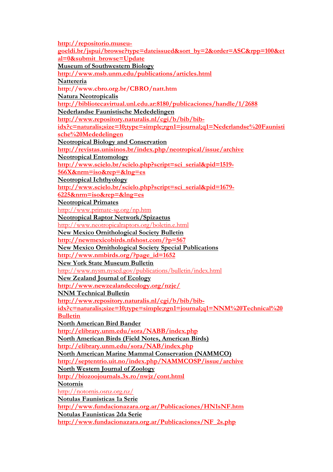http://repositorio.museugoeldi.br/jspui/browse?type=dateissued&sort\_by=2&order=ASC&rpp=100&et al=0&submit\_browse=Update Museum of Southwestern Biology http://www.msb.unm.edu/publications/articles.html Nattereria http://www.cbro.org.br/CBRO/natt.htm Natura Neotropicalis http://bibliotecavirtual.unl.edu.ar:8180/publicaciones/handle/1/2688 Nederlandse Faunistische Mededelingen http://www.repository.naturalis.nl/cgi/b/bib/bibidx?c=naturalis;size=10;type=simple;rgn1=journal;q1=Nederlandse%20Faunisti sche%20Mededelingen Neotropical Biology and Conservation http://revistas.unisinos.br/index.php/neotropical/issue/archive Neotropical Entomology http://www.scielo.br/scielo.php?script=sci\_serial&pid=1519- 566X&nrm=iso&rep=&lng=es Neotropical Ichthyology http://www.scielo.br/scielo.php?script=sci\_serial&pid=1679- 6225&nrm=iso&rep=&lng=es Neotropical Primates http://www.primate-sg.org/np.htm Neotropical Raptor Network/Spizaetus http://www.neotropicalraptors.org/boletin.e.html New Mexico Ornithological Society Bulletin http://newmexicobirds.nfshost.com/?p=567 New Mexico Ornithological Society Special Publications http://www.nmbirds.org/?page\_id=1652 New York State Museum Bulletin http://www.nysm.nysed.gov/publications/bulletin/index.html New Zealand Journal of Ecology http://www.newzealandecology.org/nzje/ NNM Technical Bulletin http://www.repository.naturalis.nl/cgi/b/bib/bibidx?c=naturalis;size=10;type=simple;rgn1=journal;q1=NNM%20Technical%20 Bulletin North American Bird Bander http://elibrary.unm.edu/sora/NABB/index.php North American Birds (Field Notes, American Birds) http://elibrary.unm.edu/sora/NAB/index.php North American Marine Mammal Conservation (NAMMCO) http://septentrio.uit.no/index.php/NAMMCOSP/issue/archive North Western Journal of Zoology http://biozoojournals.3x.ro/nwjz/cont.html Notornis http://notornis.osnz.org.nz/ Notulas Faunisticas 1a Serie http://www.fundacionazara.org.ar/Publicaciones/HN1sNF.htm Notulas Faunisticas 2da Serie http://www.fundacionazara.org.ar/Publicaciones/NF\_2s.php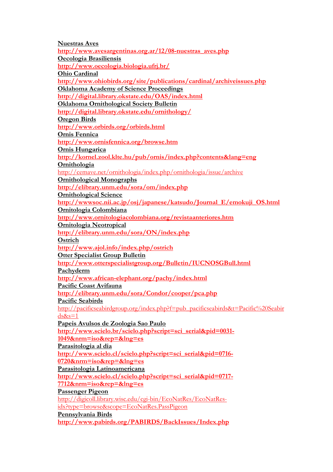Nuestras Aves http://www.avesargentinas.org.ar/12/08-nuestras\_aves.php Oecologia Brasiliensis http://www.oecologia.biologia.ufrj.br/ Ohio Cardinal http://www.ohiobirds.org/site/publications/cardinal/archiveissues.php Oklahoma Academy of Science Proceedings http://digital.library.okstate.edu/OAS/index.html Oklahoma Ornithological Society Bulletin http://digital.library.okstate.edu/ornithology/ Oregon Birds http://www.orbirds.org/orbirds.html Ornis Fennica http://www.ornisfennica.org/browse.htm Ornis Hungarica http://kornel.zool.klte.hu/pub/ornis/index.php?contents&lang=eng Ornithologia http://cemave.net/ornithologia/index.php/ornithologia/issue/archive Ornithological Monographs http://elibrary.unm.edu/sora/om/index.php Ornithological Science http://wwwsoc.nii.ac.jp/osj/japanese/katsudo/Journal\_E/emokuji\_OS.html Ornitologia Colombiana http://www.ornitologiacolombiana.org/revistaanteriores.htm Ornitologia Neotropical http://elibrary.unm.edu/sora/ON/index.php **Ostrich** http://www.ajol.info/index.php/ostrich Otter Specialist Group Bulletin http://www.otterspecialistgroup.org/Bulletin/IUCNOSGBull.html Pachyderm http://www.african-elephant.org/pachy/index.html Pacific Coast Avifauna http://elibrary.unm.edu/sora/Condor/cooper/pca.php Pacific Seabirds http://pacificseabirdgroup.org/index.php?f=pub\_pacificseabirds&t=Pacific%20Seabir  $ds$ &s=1 Papeis Avulsos de Zoologia Sao Paulo http://www.scielo.br/scielo.php?script=sci\_serial&pid=0031- 1049&nrm=iso&rep=&lng=es Parasitologia al dia http://www.scielo.cl/scielo.php?script=sci\_serial&pid=0716- 0720&nrm=iso&rep=&lng=es Parasitologia Latinoamericana http://www.scielo.cl/scielo.php?script=sci\_serial&pid=0717-7712&nrm=iso&rep=&lng=es Passenger Pigeon http://digicoll.library.wisc.edu/cgi-bin/EcoNatRes/EcoNatResidx?type=browse&scope=EcoNatRes.PassPigeon Pennsylvania Birds http://www.pabirds.org/PABIRDS/BackIssues/Index.php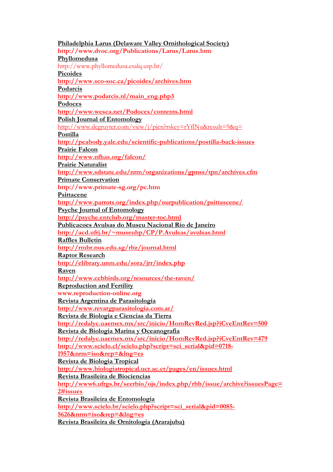Philadelphia Larus (Delaware Valley Ornithological Society) http://www.dvoc.org/Publications/Larus/Larus.htm Phyllomedusa http://www.phyllomedusa.esalq.usp.br/ Picoides http://www.sco-soc.ca/picoides/archives.htm Podarcis http://www.podarcis.nl/main\_eng.php3 Podoces http://www.wesca.net/Podoces/contents.html Polish Journal of Entomology http://www.degruyter.com/view/j/pjen?rskey=rYflNu&result=9&q= Postilla http://peabody.yale.edu/scientific-publications/postilla-back-issues Prairie Falcon http://www.nfhas.org/falcon/ Prairie Naturalist http://www.sdstate.edu/nrm/organizations/gpnss/tpn/archives.cfm Primate Conservation http://www.primate-sg.org/pc.htm Psittacene http://www.parrots.org/index.php/ourpublication/psittascene/ Psyche Journal of Entomology http://psyche.entclub.org/master-toc.html Publicacoes Avulsas do Museu Nacional Rio de Janeiro http://acd.ufrj.br/~museuhp/CP/P.Avulsas/avulsas.html Raffles Bulletin http://rmbr.nus.edu.sg/rbz/journal.html Raptor Research http://elibrary.unm.edu/sora/jrr/index.php Raven http://www.ccbbirds.org/resources/the-raven/ Reproduction and Fertility www.reproduction-online.org Revista Argentina de Parasitología http://www.revargparasitologia.com.ar/ Revista de Biologia e Ciencias da Tierra http://redalyc.uaemex.mx/src/inicio/HomRevRed.jsp?iCveEntRev=500 Revista de Biologia Marina y Oceanografia http://redalyc.uaemex.mx/src/inicio/HomRevRed.jsp?iCveEntRev=479 http://www.scielo.cl/scielo.php?script=sci\_serial&pid=0718-1957&nrm=iso&rep=&lng=es Revista de Biologia Tropical http://www.biologiatropical.ucr.ac.cr/pages/en/issues.html Revista Brasileira de Biociencias http://www6.ufrgs.br/seerbio/ojs/index.php/rbb/issue/archive?issuesPage= 2#issues Revista Brasileira de Entomologia http://www.scielo.br/scielo.php?script=sci\_serial&pid=0085- 5626&nrm=iso&rep=&lng=es Revista Brasileira de Ornitologia (Ararajuba)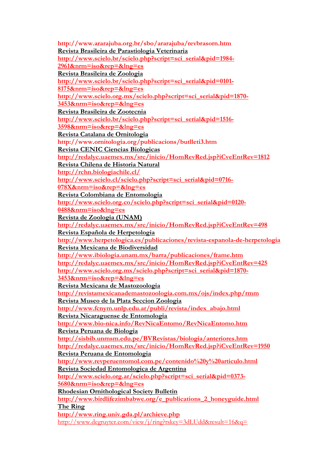http://www.ararajuba.org.br/sbo/ararajuba/revbrasorn.htm Revista Brasileira de Parastiologia Veterinaria http://www.scielo.br/scielo.php?script=sci\_serial&pid=1984- 2961&nrm=iso&rep=&lng=es Revista Brasileira de Zoologia http://www.scielo.br/scielo.php?script=sci\_serial&pid=0101- 8175&nrm=iso&rep=&lng=es http://www.scielo.org.mx/scielo.php?script=sci\_serial&pid=1870- 3453&nrm=iso&rep=&lng=es Revista Brasileira de Zootecnia http://www.scielo.br/scielo.php?script=sci\_serial&pid=1516- 3598&nrm=iso&rep=&lng=es Revista Catalana de Ornitologia http://www.ornitologia.org/publicacions/butlleti3.htm Revista CENIC Ciencias Biologicas http://redalyc.uaemex.mx/src/inicio/HomRevRed.jsp?iCveEntRev=1812 Revista Chilena de Historia Natural http://rchn.biologiachile.cl/ http://www.scielo.cl/scielo.php?script=sci\_serial&pid=0716- 078X&nrm=iso&rep=&lng=es Revista Colombiana de Entomologia http://www.scielo.org.co/scielo.php?script=sci\_serial&pid=0120-0488&nrm=iso&lng=es Revista de Zoologia (UNAM) http://redalyc.uaemex.mx/src/inicio/HomRevRed.jsp?iCveEntRev=498 Revista Española de Herpetologia http://www.herpetologica.es/publicaciones/revista-espanola-de-herpetologia Revista Mexicana de Biodiversidad http://www.ibiologia.unam.mx/barra/publicaciones/frame.htm http://redalyc.uaemex.mx/src/inicio/HomRevRed.jsp?iCveEntRev=425 http://www.scielo.org.mx/scielo.php?script=sci\_serial&pid=1870- 3453&nrm=iso&rep=&lng=es Revista Mexicana de Mastozoologia http://revistamexicanademastozoologia.com.mx/ojs/index.php/rmm Revista Museo de la Plata Seccion Zoologia http://www.fcnym.unlp.edu.ar/publi/revista/index\_abajo.html Revista Nicaraguense de Entomologia http://www.bio-nica.info/RevNicaEntomo/RevNicaEntomo.htm Revista Peruana de Biologia http://sisbib.unmsm.edu.pe/BVRevistas/biologia/anteriores.htm http://redalyc.uaemex.mx/src/inicio/HomRevRed.jsp?iCveEntRev=1950 Revista Peruana de Entomologia http://www.revperuentomol.com.pe/contenido%20y%20articulo.html Revista Sociedad Entomologica de Argentina http://www.scielo.org.ar/scielo.php?script=sci\_serial&pid=0373- 5680&nrm=iso&rep=&lng=es Rhodesian Ornithological Society Bulletin http://www.birdlifezimbabwe.org/e\_publications\_2\_honeyguide.html The Ring http://www.ring.univ.gda.pl/archieve.php http://www.degruyter.com/view/j/ring?rskey=3dLUdd&result=16&q=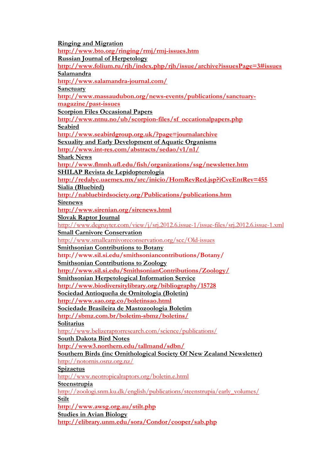Ringing and Migration http://www.bto.org/ringing/rmj/rmj-issues.htm Russian Journal of Herpetology http://www.folium.ru/rjh/index.php/rjh/issue/archive?issuesPage=3#issues Salamandra http://www.salamandra-journal.com/ **Sanctuary** http://www.massaudubon.org/news-events/publications/sanctuarymagazine/past-issues Scorpion Files Occasional Papers http://www.ntnu.no/ub/scorpion-files/sf\_occationalpapers.php Seabird http://www.seabirdgroup.org.uk/?page=journalarchive Sexuality and Early Development of Aquatic Organisms http://www.int-res.com/abstracts/sedao/v1/n1/ Shark News http://www.flmnh.ufl.edu/fish/organizations/ssg/newsletter.htm SHILAP Revista de Lepidopterologia http://redalyc.uaemex.mx/src/inicio/HomRevRed.jsp?iCveEntRev=455 Sialia (Bluebird) http://nabluebirdsociety.org/Publications/publications.htm Sirenews http://www.sirenian.org/sirenews.html Slovak Raptor Journal http://www.degruyter.com/view/j/srj.2012.6.issue-1/issue-files/srj.2012.6.issue-1.xml Small Carnivore Conservation http://www.smallcarnivoreconservation.org/scc/Old-issues Smithsonian Contributions to Botany http://www.sil.si.edu/smithsoniancontributions/Botany/ Smithsonian Contributions to Zoology http://www.sil.si.edu/SmithsonianContributions/Zoology/ Smithsonian Herpetological Information Service http://www.biodiversitylibrary.org/bibliography/15728 Sociedad Antioqueña de Ornitologia (Boletin) http://www.sao.org.co/boletinsao.html Sociedade Brasileira de Mastozoologia Boletim http://sbmz.com.br/boletim-sbmz/boletins/ **Solitarius** http://www.belizeraptorresearch.com/science/publications/ South Dakota Bird Notes http://www3.northern.edu/tallmand/sdbn/ Southern Birds (inc Ornithological Society Of New Zealand Newsletter) http://notornis.osnz.org.nz/ **Spizaetus** http://www.neotropicalraptors.org/boletin.e.html Steenstrupia http://zoologi.snm.ku.dk/english/publications/steenstrupia/early\_volumes/ Stilt http://www.awsg.org.au/stilt.php Studies in Avian Biology http://elibrary.unm.edu/sora/Condor/cooper/sab.php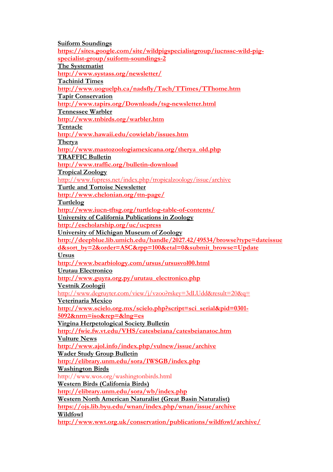Suiform Soundings https://sites.google.com/site/wildpigspecialistgroup/iucnssc-wild-pigspecialist-group/suiform-soundings-2 The Systematist http://www.systass.org/newsletter/ Tachinid Times http://www.uoguelph.ca/nadsfly/Tach/TTimes/TThome.htm Tapir Conservation http://www.tapirs.org/Downloads/tsg-newsletter.html Tennessee Warbler http://www.tnbirds.org/warbler.htm Tentacle http://www.hawaii.edu/cowielab/issues.htm Therya http://www.mastozoologiamexicana.org/therya\_old.php TRAFFIC Bulletin http://www.traffic.org/bulletin-download Tropical Zoology http://www.fupress.net/index.php/tropicalzoology/issue/archive Turtle and Tortoise Newsletter http://www.chelonian.org/ttn-page/ Turtlelog http://www.iucn-tftsg.org/turtlelog-table-of-contents/ University of California Publications in Zoology http://escholarship.org/uc/ucpress University of Michigan Museum of Zoology http://deepblue.lib.umich.edu/handle/2027.42/49534/browse?type=dateissue d&sort\_by=2&order=ASC&rpp=100&etal=0&submit\_browse=Update Ursus http://www.bearbiology.com/ursus/ursusvol00.html Urutau Electronico http://www.guyra.org.py/urutau\_electronico.php Vestnik Zoologii http://www.degruyter.com/view/j/vzoo?rskey=3dLUdd&result=20&q= Veterinaria Mexico http://www.scielo.org.mx/scielo.php?script=sci\_serial&pid=0301- 5092&nrm=iso&rep=&lng=es Virgina Herpetological Society Bulletin http://fwie.fw.vt.edu/VHS/catesbeiana/catesbeianatoc.htm Vulture News http://www.ajol.info/index.php/vulnew/issue/archive Wader Study Group Bulletin http://elibrary.unm.edu/sora/IWSGB/index.php Washington Birds http://www.wos.org/washingtonbirds.html Western Birds (California Birds) http://elibrary.unm.edu/sora/wb/index.php Western North American Naturalist (Great Basin Naturalist) https://ojs.lib.byu.edu/wnan/index.php/wnan/issue/archive Wildfowl http://www.wwt.org.uk/conservation/publications/wildfowl/archive/